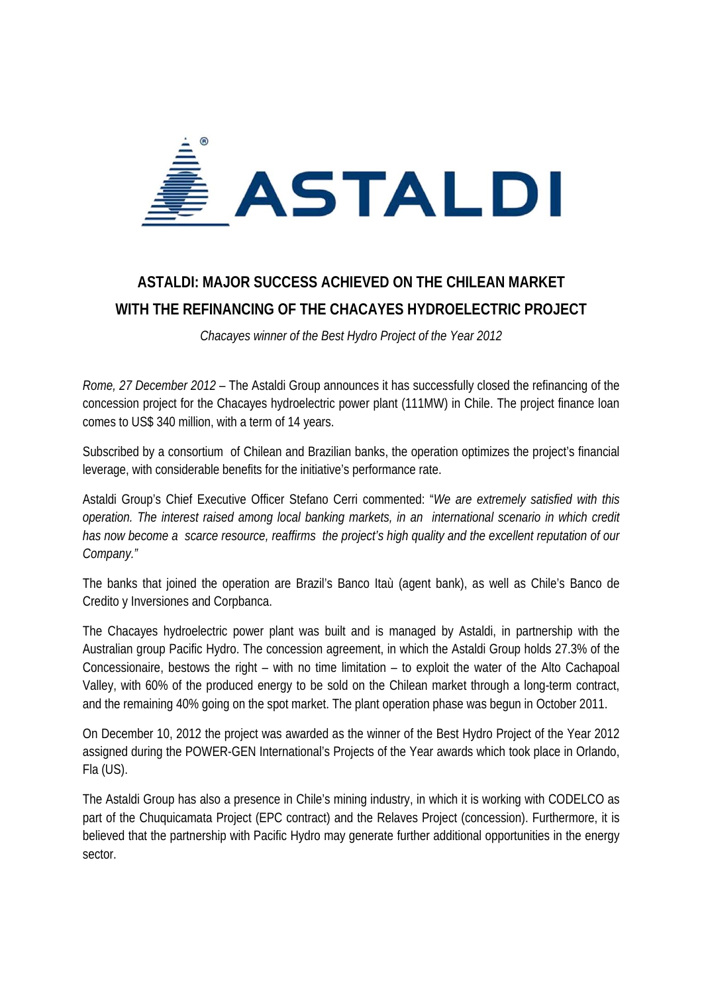

## **ASTALDI: MAJOR SUCCESS ACHIEVED ON THE CHILEAN MARKET WITH THE REFINANCING OF THE CHACAYES HYDROELECTRIC PROJECT**

*Chacayes winner of the Best Hydro Project of the Year 2012* 

*Rome, 27 December 2012* – The Astaldi Group announces it has successfully closed the refinancing of the concession project for the Chacayes hydroelectric power plant (111MW) in Chile. The project finance loan comes to US\$ 340 million, with a term of 14 years.

Subscribed by a consortium of Chilean and Brazilian banks, the operation optimizes the project's financial leverage, with considerable benefits for the initiative's performance rate.

Astaldi Group's Chief Executive Officer Stefano Cerri commented: "*We are extremely satisfied with this operation. The interest raised among local banking markets, in an international scenario in which credit has now become a scarce resource, reaffirms the project's high quality and the excellent reputation of our Company."*

The banks that joined the operation are Brazil's Banco Itaù (agent bank), as well as Chile's Banco de Credito y Inversiones and Corpbanca.

The Chacayes hydroelectric power plant was built and is managed by Astaldi, in partnership with the Australian group Pacific Hydro. The concession agreement, in which the Astaldi Group holds 27.3% of the Concessionaire, bestows the right – with no time limitation – to exploit the water of the Alto Cachapoal Valley, with 60% of the produced energy to be sold on the Chilean market through a long-term contract, and the remaining 40% going on the spot market. The plant operation phase was begun in October 2011.

On December 10, 2012 the project was awarded as the winner of the Best Hydro Project of the Year 2012 assigned during the POWER-GEN International's Projects of the Year awards which took place in Orlando, Fla (US).

The Astaldi Group has also a presence in Chile's mining industry, in which it is working with CODELCO as part of the Chuquicamata Project (EPC contract) and the Relaves Project (concession). Furthermore, it is believed that the partnership with Pacific Hydro may generate further additional opportunities in the energy sector.